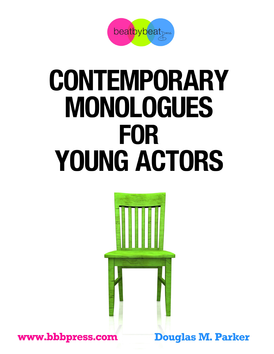

# CONTEMPORARY **MONOLOGUES** FOR **YOUNG ACTORS**



www.bbbpress.com

**Douglas M. Parker**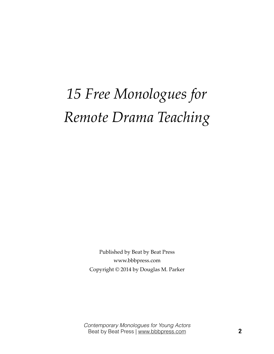# *15 Free Monologues for Remote Drama Teaching*

Published by Beat by Beat Press www.bbbpress.com Copyright © 2014 by Douglas M. Parker

*Contemporary Monologues for Young Actors* Beat by Beat Press | [www.bbbpress.com](http://www.bbbpress.com) **2**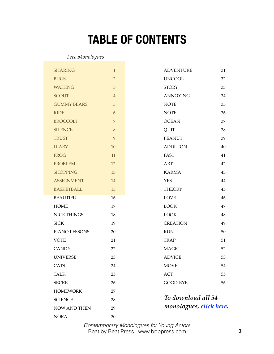# **TABLE OF CONTENTS**

#### *Free Monologues*

| <b>SHARING</b>     | $\mathbf{1}$   | <b>ADVENTURE</b>        | 31                 |  |
|--------------------|----------------|-------------------------|--------------------|--|
| <b>BUGS</b>        | $\overline{2}$ | <b>UNCOOL</b>           | 32                 |  |
| <b>WAITING</b>     | $\overline{3}$ | <b>STORY</b>            | 33                 |  |
| <b>SCOUT</b>       | $\overline{4}$ | <b>ANNOYING</b>         | 34                 |  |
| <b>GUMMY BEARS</b> | $\overline{5}$ | <b>NOTE</b>             | 35                 |  |
| <b>RIDE</b>        | 6              | <b>NOTE</b>             | 36                 |  |
| <b>BROCCOLI</b>    | $\overline{7}$ | <b>OCEAN</b>            | 37                 |  |
| <b>SILENCE</b>     | 8              | <b>QUIT</b>             | 38                 |  |
| <b>TRUST</b>       | 9              | <b>PEANUT</b>           | 39                 |  |
| <b>DIARY</b>       | 10             | <b>ADDITION</b>         | 40                 |  |
| <b>FROG</b>        | 11             | <b>FAST</b>             | 41                 |  |
| <b>PROBLEM</b>     | 12             | <b>ART</b>              | 42                 |  |
| <b>SHOPPING</b>    | 13             | <b>KARMA</b>            | 43                 |  |
| <b>ASSIGNMENT</b>  | 14             | <b>YES</b>              | 44                 |  |
| <b>BASKETBALL</b>  | 15             | <b>THEORY</b>           | 45                 |  |
| <b>BEAUTIFUL</b>   | 16             | <b>LOVE</b>             | 46                 |  |
| <b>HOME</b>        | 17             | <b>LOOK</b>             | 47                 |  |
| <b>NICE THINGS</b> | 18             | <b>LOOK</b>             | 48                 |  |
| <b>SICK</b>        | 19             | <b>CREATION</b>         | 49                 |  |
| PIANO LESSONS      | 20             | <b>RUN</b>              | 50                 |  |
| <b>VOTE</b>        | 21             | <b>TRAP</b>             | 51                 |  |
| <b>CANDY</b>       | 22             | <b>MAGIC</b>            | 52                 |  |
| <b>UNIVERSE</b>    | 23             | <b>ADVICE</b>           | 53                 |  |
| <b>CATS</b>        | 24             | <b>MOVE</b>             | 54                 |  |
| <b>TALK</b>        | 25             | ACT                     | 55                 |  |
| <b>SECRET</b>      | 26             | GOOD-BYE                | 56                 |  |
| <b>HOMEWORK</b>    | 27             |                         |                    |  |
| <b>SCIENCE</b>     | 28             |                         | To download all 54 |  |
| NOW AND THEN       | 29             | monologues, click here. |                    |  |
| <b>NORA</b>        | 30             |                         |                    |  |

*Contemporary Monologues for Young Actors* Beat by Beat Press | [www.bbbpress.com](http://www.bbbpress.com) **3**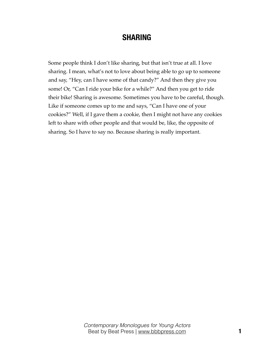#### <span id="page-3-0"></span>**SHARING**

Some people think I don't like sharing, but that isn't true at all. I love sharing. I mean, what's not to love about being able to go up to someone and say, "Hey, can I have some of that candy?" And then they give you some! Or, "Can I ride your bike for a while?" And then you get to ride their bike! Sharing is awesome. Sometimes you have to be careful, though. Like if someone comes up to me and says, "Can I have one of your cookies?" Well, if I gave them a cookie, then I might not have any cookies left to share with other people and that would be, like, the opposite of sharing. So I have to say no. Because sharing is really important.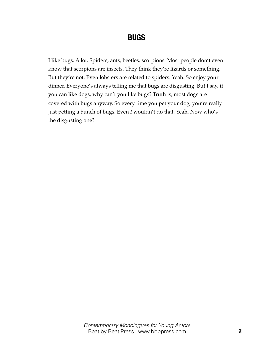#### <span id="page-4-0"></span>**BUGS**

I like bugs. A lot. Spiders, ants, beetles, scorpions. Most people don't even know that scorpions are insects. They think they're lizards or something. But they're not. Even lobsters are related to spiders. Yeah. So enjoy your dinner. Everyone's always telling me that bugs are disgusting. But I say, if you can like dogs, why can't you like bugs? Truth is, most dogs are covered with bugs anyway. So every time you pet your dog, you're really just petting a bunch of bugs. Even *I* wouldn't do that. Yeah. Now who's the disgusting one?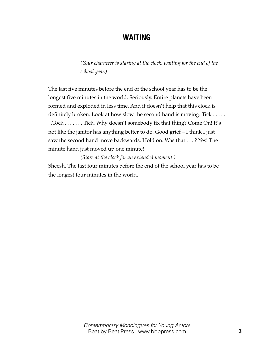#### <span id="page-5-0"></span>**WAITING**

*(Your character is staring at the clock, waiting for the end of the school year.)*

The last five minutes before the end of the school year has to be the longest five minutes in the world. Seriously. Entire planets have been formed and exploded in less time. And it doesn't help that this clock is definitely broken. Look at how slow the second hand is moving. Tick . . . . . . .Tock . . . . . . . Tick. Why doesn't somebody fix that thing? Come On! It's not like the janitor has anything better to do. Good grief – I think I just saw the second hand move backwards. Hold on. Was that . . . ? Yes! The minute hand just moved up one minute!

*(Stare at the clock for an extended moment.)*

Sheesh. The last four minutes before the end of the school year has to be the longest four minutes in the world.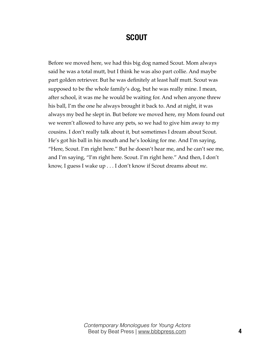#### <span id="page-6-0"></span>**SCOUT**

Before we moved here, we had this big dog named Scout. Mom always said he was a total mutt, but I think he was also part collie. And maybe part golden retriever. But he was definitely at least half mutt. Scout was supposed to be the whole family's dog, but he was really mine. I mean, after school, it was me he would be waiting for. And when anyone threw his ball, I'm the one he always brought it back to. And at night, it was always my bed he slept in. But before we moved here, my Mom found out we weren't allowed to have any pets, so we had to give him away to my cousins. I don't really talk about it, but sometimes I dream about Scout. He's got his ball in his mouth and he's looking for me. And I'm saying, "Here, Scout. I'm right here." But he doesn't hear me, and he can't see me, and I'm saying, "I'm right here. Scout. I'm right here." And then, I don't know, I guess I wake up . . . I don't know if Scout dreams about *me*.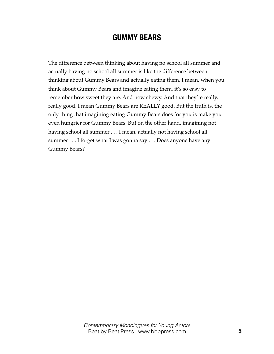#### <span id="page-7-0"></span>**GUMMY BEARS**

The difference between thinking about having no school all summer and actually having no school all summer is like the difference between thinking about Gummy Bears and actually eating them. I mean, when you think about Gummy Bears and imagine eating them, it's so easy to remember how sweet they are. And how chewy. And that they're really, really good. I mean Gummy Bears are REALLY good. But the truth is, the only thing that imagining eating Gummy Bears does for you is make you even hungrier for Gummy Bears. But on the other hand, imagining not having school all summer . . . I mean, actually not having school all summer . . . I forget what I was gonna say . . . Does anyone have any Gummy Bears?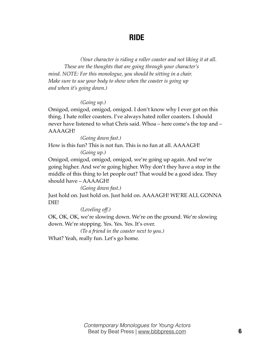#### <span id="page-8-0"></span>**RIDE**

*(Your character is riding a roller coaster and not liking it at all. These are the thoughts that are going through your character's mind. NOTE: For this monologue, you should be sitting in a chair. Make sure to use your body to show when the coaster is going up and when it's going down.)*

#### *(Going up.)*

Omigod, omigod, omigod, omigod. I don't know why I ever got on this thing. I hate roller coasters. I've always hated roller coasters. I should never have listened to what Chris said. Whoa – here come's the top and – AAAAGH!

*(Going down fast.)*

How is this fun? This is not fun. This is no fun at all. AAAAGH! *(Going up.)*

Omigod, omigod, omigod, omigod, we're going up again. And we're going higher. And we're going higher. Why don't they have a stop in the middle of this thing to let people out? That would be a good idea. They should have – AAAAGH!

*(Going down fast.)*

Just hold on. Just hold on. Just hold on. AAAAGH! WE'RE ALL GONNA DIE!

#### *(Leveling off.)*

OK, OK, OK, we're slowing down. We're on the ground. We're slowing down. We're stopping. Yes. Yes. Yes. It's over.

*(To a friend in the coaster next to you.)*

What? Yeah, really fun. Let's go home.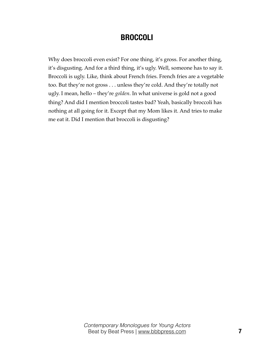# <span id="page-9-0"></span>**BROCCOLI**

Why does broccoli even exist? For one thing, it's gross. For another thing, it's disgusting. And for a third thing, it's ugly. Well, someone has to say it. Broccoli is ugly. Like, think about French fries. French fries are a vegetable too. But they're not gross . . . unless they're cold. And they're totally not ugly. I mean, hello – they're *golden*. In what universe is gold not a good thing? And did I mention broccoli tastes bad? Yeah, basically broccoli has nothing at all going for it. Except that my Mom likes it. And tries to make me eat it. Did I mention that broccoli is disgusting?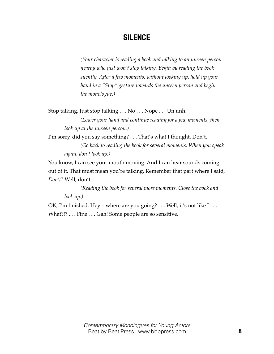#### <span id="page-10-0"></span>**SILENCE**

*(Your character is reading a book and talking to an unseen person nearby who just won't stop talking. Begin by reading the book silently. After a few moments, without looking up, hold up your hand in a "Stop" gesture towards the unseen person and begin the monologue.)*

Stop talking. Just stop talking . . . No . . . Nope . . . Un unh.

*(Lower your hand and continue reading for a few moments, then look up at the unseen person.)*

I'm sorry, did you say something? . . . That's what I thought. Don't.

*(Go back to reading the book for several moments. When you speak again, don't look up.)*

You know, I can see your mouth moving. And I can hear sounds coming out of it. That must mean you're talking. Remember that part where I said, *Don't*? Well, don't.

*(Reading the book for several more moments. Close the book and look up.)*

OK, I'm finished. Hey – where are you going? . . . Well, it's not like I . . . What?!? . . . Fine . . . Gah! Some people are so sensitive.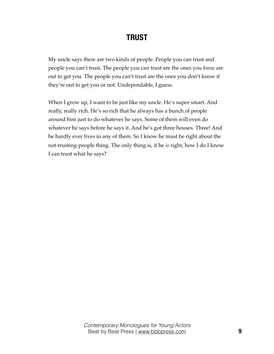# <span id="page-11-0"></span>**TRUST**

My uncle says there are two kinds of people. People you can trust and people you can't trust. The people you can trust are the ones you *know* are out to get you. The people you can't trust are the ones you don't know if they're out to get you or not. Undependable, I guess.

When I grow up, I want to be just like my uncle. He's super smart. And really, really rich. He's so rich that he always has a bunch of people around him just to do whatever he says. Some of them will even do whatever he says before he says it. And he's got three houses. Three! And he hardly ever lives in any of them. So I know he must be right about the not-trusting-people thing. The only thing is, if he *is* right, how I do I know I can trust what he says?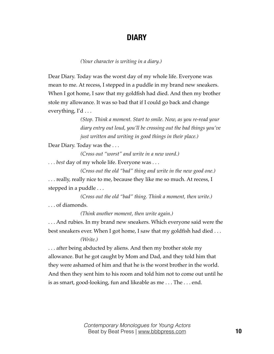#### <span id="page-12-0"></span>**DIARY**

#### *(Your character is writing in a diary.)*

Dear Diary. Today was the worst day of my whole life. Everyone was mean to me. At recess, I stepped in a puddle in my brand new sneakers. When I got home, I saw that my goldfish had died. And then my brother stole my allowance. It was so bad that if I could go back and change everything, I'd . . .

> *(Stop. Think a moment. Start to smile. Now, as you re-read your diary entry out loud, you'll be crossing out the bad things you've just written and writing in good things in their place.)*

Dear Diary. Today was the . . .

*(Cross out "worst" and write in a new word.)*

*. . . best* day of my whole life. Everyone was . . .

*(Cross out the old "bad" thing and write in the new good one.)* ... really, really nice to me, because they like me so much. At recess, I stepped in a puddle . . .

*(Cross out the old "bad" thing. Think a moment, then write.)* . . . of diamonds.

*(Think another moment, then write again.)*

. . . And rubies. In my brand new sneakers. Which everyone said were the best sneakers ever. When I got home, I saw that my goldfish had died . . .

*(Write.)*

. . . after being abducted by aliens. And then my brother stole my allowance. But he got caught by Mom and Dad, and they told him that they were ashamed of him and that he is the worst brother in the world. And then they sent him to his room and told him not to come out until he is as smart, good-looking, fun and likeable as me . . . The . . . end.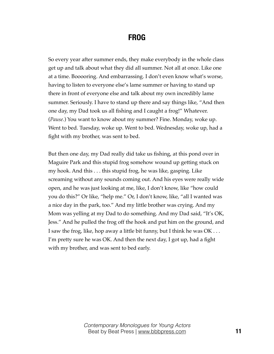#### <span id="page-13-0"></span>**FROG**

So every year after summer ends, they make everybody in the whole class get up and talk about what they did all summer. Not all at once. Like one at a time. Booooring. And embarrassing. I don't even know what's worse, having to listen to everyone else's lame summer or having to stand up there in front of everyone else and talk about my own incredibly lame summer. Seriously. I have to stand up there and say things like, "And then one day, my Dad took us all fishing and I caught a frog!" Whatever. (*Pause.*) You want to know about my summer? Fine. Monday, woke up. Went to bed. Tuesday, woke up. Went to bed. Wednesday, woke up, had a fight with my brother, was sent to bed.

But then one day, my Dad really did take us fishing, at this pond over in Maguire Park and this stupid frog somehow wound up getting stuck on my hook. And this . . . this stupid frog, he was like, gasping. Like screaming without any sounds coming out. And his eyes were really wide open, and he was just looking at me, like, I don't know, like "how could you do this?" Or like, "help me." Or, I don't know, like, "all I wanted was a nice day in the park, too." And my little brother was crying. And my Mom was yelling at my Dad to do something. And my Dad said, "It's OK, Jess." And he pulled the frog off the hook and put him on the ground, and I saw the frog, like, hop away a little bit funny, but I think he was OK . . . I'm pretty sure he was OK. And then the next day, I got up, had a fight with my brother, and was sent to bed early.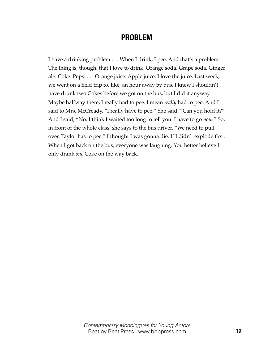#### <span id="page-14-0"></span>**PROBLEM**

I have a drinking problem . . . When I drink, I pee. And that's a problem. The thing is, though, that I love to drink. Orange soda. Grape soda. Ginger ale. Coke. Pepsi . . . Orange juice. Apple juice. I love the juice. Last week, we went on a field trip to, like, an hour away by bus. I knew I shouldn't have drunk two Cokes before we got on the bus, but I did it anyway. Maybe halfway there, I really had to pee. I mean *really* had to pee. And I said to Mrs. McCready, "I really have to pee." She said, "Can you hold it?" And I said, "No. I think I waited too long to tell you. I have to go *now*." So, in front of the whole class, she says to the bus driver, "We need to pull over. Taylor has to pee." I thought I was gonna die. If I didn't explode first. When I got back on the bus, everyone was laughing. You better believe I only drank *one* Coke on the way back.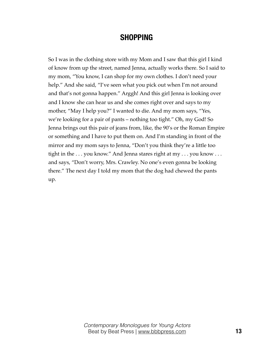#### <span id="page-15-0"></span>**SHOPPING**

So I was in the clothing store with my Mom and I saw that this girl I kind of know from up the street, named Jenna, actually works there. So I said to my mom, "You know, I can shop for my own clothes. I don't need your help." And she said, "I've seen what you pick out when I'm not around and that's not gonna happen." Arggh! And this girl Jenna is looking over and I know she can hear us and she comes right over and says to my mother, "May I help you?" I wanted to die. And my mom says, "Yes, we're looking for a pair of pants – nothing too tight." Oh, my God! So Jenna brings out this pair of jeans from, like, the 90's or the Roman Empire or something and I have to put them on. And I'm standing in front of the mirror and my mom says to Jenna, "Don't you think they're a little too tight in the . . . you know." And Jenna stares right at my . . . you know . . . and says, "Don't worry, Mrs. Crawley. No one's even gonna be looking there." The next day I told my mom that the dog had chewed the pants up.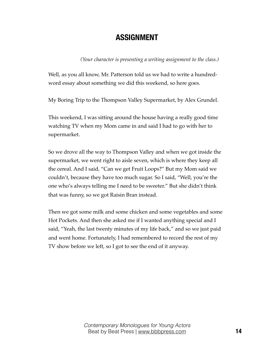### <span id="page-16-0"></span>**ASSIGNMENT**

*(Your character is presenting a writing assignment to the class.)*

Well, as you all know, Mr. Patterson told us we had to write a hundredword essay about something we did this weekend, so here goes.

My Boring Trip to the Thompson Valley Supermarket, by Alex Grundel.

This weekend, I was sitting around the house having a really good time watching TV when my Mom came in and said I had to go with her to supermarket.

So we drove all the way to Thompson Valley and when we got inside the supermarket, we went right to aisle seven, which is where they keep all the cereal. And I said, "Can we get Fruit Loops?" But my Mom said we couldn't, because they have too much sugar. So I said, "Well, you're the one who's always telling me I need to be sweeter." But she didn't think that was funny, so we got Raisin Bran instead.

Then we got some milk and some chicken and some vegetables and some Hot Pockets. And then she asked me if I wanted anything special and I said, "Yeah, the last twenty minutes of my life back," and so we just paid and went home. Fortunately, I had remembered to record the rest of my TV show before we left, so I got to see the end of it anyway.